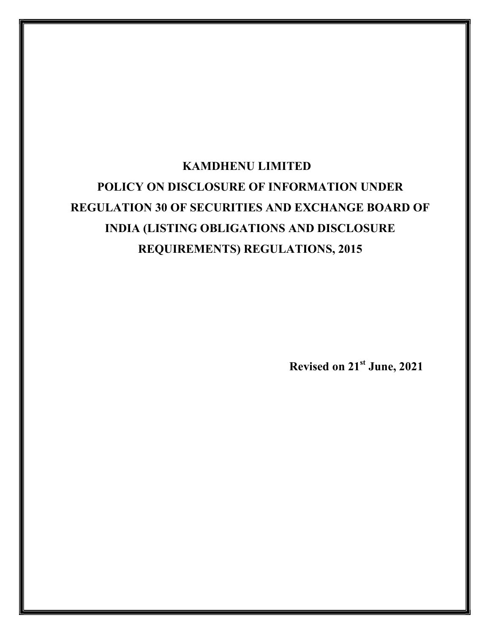# KAMDHENU LIMITED POLICY ON DISCLOSURE OF INFORMATION UNDER REGULATION 30 OF SECURITIES AND EXCHANGE BOARD OF INDIA (LISTING OBLIGATIONS AND DISCLOSURE REQUIREMENTS) REGULATIONS, 2015

Revised on 21st June, 2021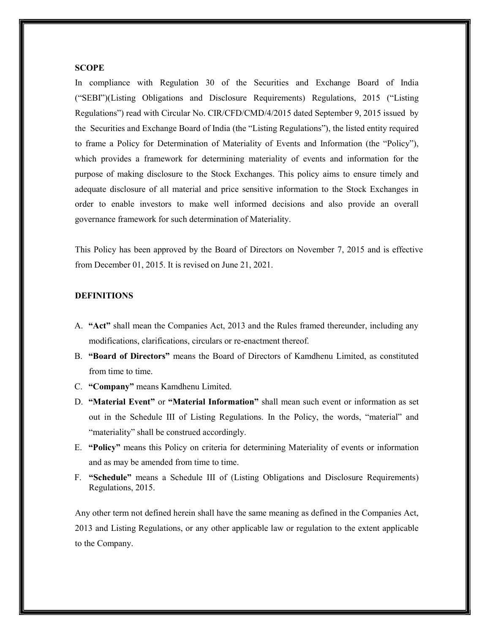#### **SCOPE**

In compliance with Regulation 30 of the Securities and Exchange Board of India ("SEBI")(Listing Obligations and Disclosure Requirements) Regulations, 2015 ("Listing Regulations") read with Circular No. CIR/CFD/CMD/4/2015 dated September 9, 2015 issued by the Securities and Exchange Board of India (the "Listing Regulations"), the listed entity required to frame a Policy for Determination of Materiality of Events and Information (the "Policy"), which provides a framework for determining materiality of events and information for the purpose of making disclosure to the Stock Exchanges. This policy aims to ensure timely and adequate disclosure of all material and price sensitive information to the Stock Exchanges in order to enable investors to make well informed decisions and also provide an overall governance framework for such determination of Materiality.

This Policy has been approved by the Board of Directors on November 7, 2015 and is effective from December 01, 2015. It is revised on June 21, 2021.

# **DEFINITIONS**

- A. "Act" shall mean the Companies Act, 2013 and the Rules framed thereunder, including any modifications, clarifications, circulars or re-enactment thereof.
- B. "Board of Directors" means the Board of Directors of Kamdhenu Limited, as constituted from time to time.
- C. "Company" means Kamdhenu Limited.
- D. "Material Event" or "Material Information" shall mean such event or information as set out in the Schedule III of Listing Regulations. In the Policy, the words, "material" and "materiality" shall be construed accordingly.
- E. "Policy" means this Policy on criteria for determining Materiality of events or information and as may be amended from time to time.
- F. "Schedule" means a Schedule III of (Listing Obligations and Disclosure Requirements) Regulations, 2015.

Any other term not defined herein shall have the same meaning as defined in the Companies Act, 2013 and Listing Regulations, or any other applicable law or regulation to the extent applicable to the Company.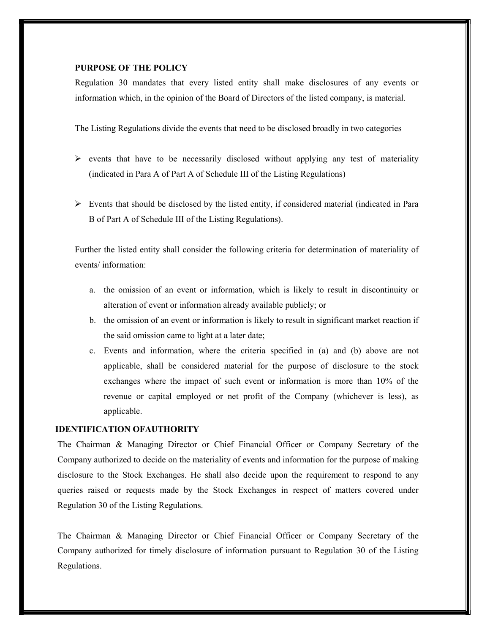# PURPOSE OF THE POLICY

Regulation 30 mandates that every listed entity shall make disclosures of any events or information which, in the opinion of the Board of Directors of the listed company, is material.

The Listing Regulations divide the events that need to be disclosed broadly in two categories

- $\triangleright$  events that have to be necessarily disclosed without applying any test of materiality (indicated in Para A of Part A of Schedule III of the Listing Regulations)
- $\triangleright$  Events that should be disclosed by the listed entity, if considered material (indicated in Para B of Part A of Schedule III of the Listing Regulations).

Further the listed entity shall consider the following criteria for determination of materiality of events/ information:

- a. the omission of an event or information, which is likely to result in discontinuity or alteration of event or information already available publicly; or
- b. the omission of an event or information is likely to result in significant market reaction if the said omission came to light at a later date;
- c. Events and information, where the criteria specified in (a) and (b) above are not applicable, shall be considered material for the purpose of disclosure to the stock exchanges where the impact of such event or information is more than 10% of the revenue or capital employed or net profit of the Company (whichever is less), as applicable.

# IDENTIFICATION OFAUTHORITY

The Chairman & Managing Director or Chief Financial Officer or Company Secretary of the Company authorized to decide on the materiality of events and information for the purpose of making disclosure to the Stock Exchanges. He shall also decide upon the requirement to respond to any queries raised or requests made by the Stock Exchanges in respect of matters covered under Regulation 30 of the Listing Regulations.

The Chairman & Managing Director or Chief Financial Officer or Company Secretary of the Company authorized for timely disclosure of information pursuant to Regulation 30 of the Listing Regulations.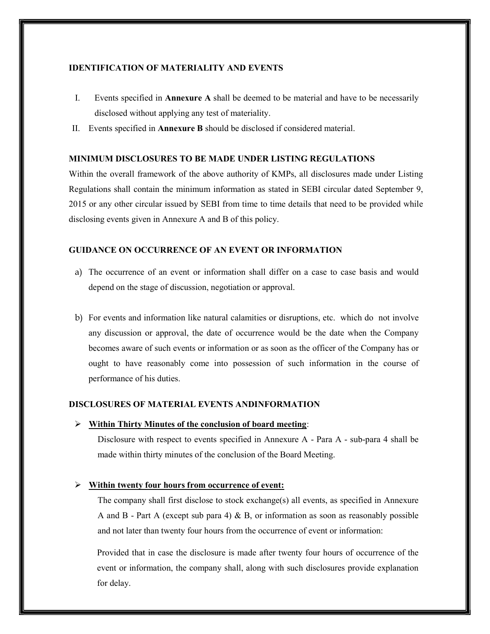## IDENTIFICATION OF MATERIALITY AND EVENTS

- I. Events specified in Annexure A shall be deemed to be material and have to be necessarily disclosed without applying any test of materiality.
- II. Events specified in Annexure B should be disclosed if considered material.

# MINIMUM DISCLOSURES TO BE MADE UNDER LISTING REGULATIONS

Within the overall framework of the above authority of KMPs, all disclosures made under Listing Regulations shall contain the minimum information as stated in SEBI circular dated September 9, 2015 or any other circular issued by SEBI from time to time details that need to be provided while disclosing events given in Annexure A and B of this policy.

#### GUIDANCE ON OCCURRENCE OF AN EVENT OR INFORMATION

- a) The occurrence of an event or information shall differ on a case to case basis and would depend on the stage of discussion, negotiation or approval.
- b) For events and information like natural calamities or disruptions, etc. which do not involve any discussion or approval, the date of occurrence would be the date when the Company becomes aware of such events or information or as soon as the officer of the Company has or ought to have reasonably come into possession of such information in the course of performance of his duties.

#### DISCLOSURES OF MATERIAL EVENTS ANDINFORMATION

 $\triangleright$  Within Thirty Minutes of the conclusion of board meeting:

Disclosure with respect to events specified in Annexure A - Para A - sub-para 4 shall be made within thirty minutes of the conclusion of the Board Meeting.

# Within twenty four hours from occurrence of event:

The company shall first disclose to stock exchange(s) all events, as specified in Annexure A and B - Part A (except sub para 4)  $\&$  B, or information as soon as reasonably possible and not later than twenty four hours from the occurrence of event or information:

Provided that in case the disclosure is made after twenty four hours of occurrence of the event or information, the company shall, along with such disclosures provide explanation for delay.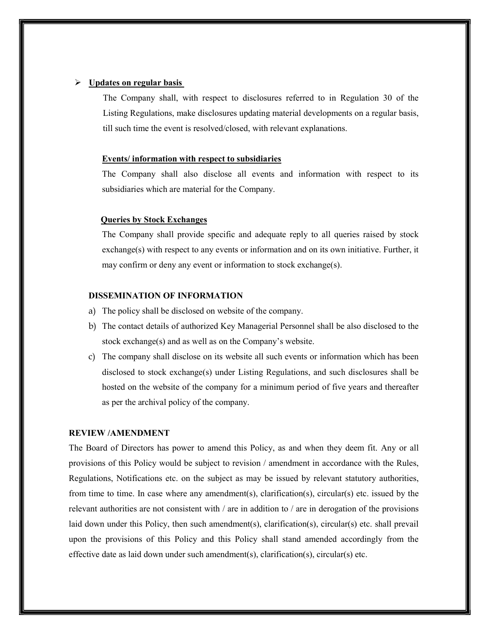### Updates on regular basis

The Company shall, with respect to disclosures referred to in Regulation 30 of the Listing Regulations, make disclosures updating material developments on a regular basis, till such time the event is resolved/closed, with relevant explanations.

#### Events/ information with respect to subsidiaries

The Company shall also disclose all events and information with respect to its subsidiaries which are material for the Company.

# Queries by Stock Exchanges

The Company shall provide specific and adequate reply to all queries raised by stock exchange(s) with respect to any events or information and on its own initiative. Further, it may confirm or deny any event or information to stock exchange(s).

# DISSEMINATION OF INFORMATION

- a) The policy shall be disclosed on website of the company.
- b) The contact details of authorized Key Managerial Personnel shall be also disclosed to the stock exchange(s) and as well as on the Company's website.
- c) The company shall disclose on its website all such events or information which has been disclosed to stock exchange(s) under Listing Regulations, and such disclosures shall be hosted on the website of the company for a minimum period of five years and thereafter as per the archival policy of the company.

## REVIEW /AMENDMENT

The Board of Directors has power to amend this Policy, as and when they deem fit. Any or all provisions of this Policy would be subject to revision / amendment in accordance with the Rules, Regulations, Notifications etc. on the subject as may be issued by relevant statutory authorities, from time to time. In case where any amendment(s), clarification(s), circular(s) etc. issued by the relevant authorities are not consistent with / are in addition to / are in derogation of the provisions laid down under this Policy, then such amendment(s), clarification(s), circular(s) etc. shall prevail upon the provisions of this Policy and this Policy shall stand amended accordingly from the effective date as laid down under such amendment(s), clarification(s), circular(s) etc.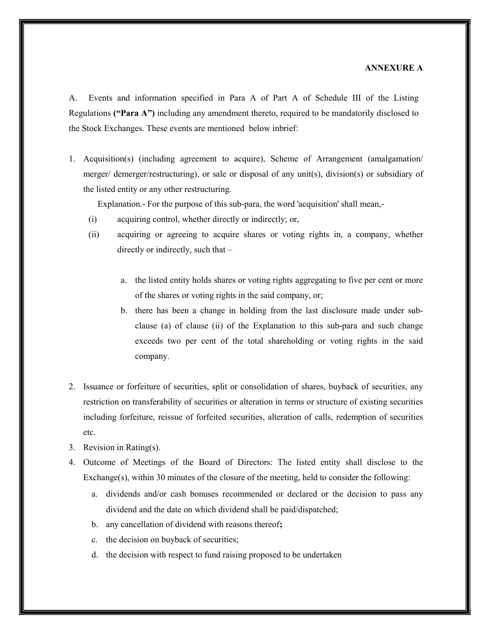### ANNEXURE A

A. Events and information specified in Para A of Part A of Schedule III of the Listing Regulations ("Para A") including any amendment thereto, required to be mandatorily disclosed to the Stock Exchanges. These events are mentioned below inbrief:

1. Acquisition(s) (including agreement to acquire), Scheme of Arrangement (amalgamation/ merger/ demerger/restructuring), or sale or disposal of any unit(s), division(s) or subsidiary of the listed entity or any other restructuring.

Explanation.- For the purpose of this sub-para, the word 'acquisition' shall mean,-

- (i) acquiring control, whether directly or indirectly; or,
- (ii) acquiring or agreeing to acquire shares or voting rights in, a company, whether directly or indirectly, such that –
	- a. the listed entity holds shares or voting rights aggregating to five per cent or more of the shares or voting rights in the said company, or;
	- b. there has been a change in holding from the last disclosure made under subclause (a) of clause (ii) of the Explanation to this sub-para and such change exceeds two per cent of the total shareholding or voting rights in the said company.
- 2. Issuance or forfeiture of securities, split or consolidation of shares, buyback of securities, any restriction on transferability of securities or alteration in terms or structure of existing securities including forfeiture, reissue of forfeited securities, alteration of calls, redemption of securities etc.
- 3. Revision in Rating(s).
- 4. Outcome of Meetings of the Board of Directors: The listed entity shall disclose to the Exchange(s), within 30 minutes of the closure of the meeting, held to consider the following:
	- a. dividends and/or cash bonuses recommended or declared or the decision to pass any dividend and the date on which dividend shall be paid/dispatched;
	- b. any cancellation of dividend with reasons thereof;
	- c. the decision on buyback of securities;
	- d. the decision with respect to fund raising proposed to be undertaken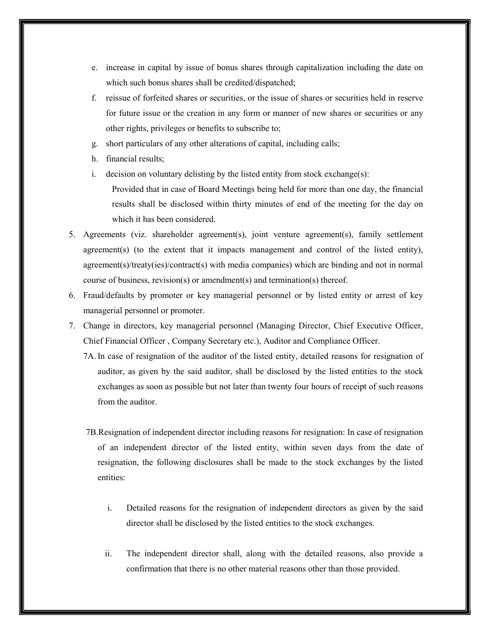- e. increase in capital by issue of bonus shares through capitalization including the date on which such bonus shares shall be credited/dispatched;
- f. reissue of forfeited shares or securities, or the issue of shares or securities held in reserve for future issue or the creation in any form or manner of new shares or securities or any other rights, privileges or benefits to subscribe to;
- g. short particulars of any other alterations of capital, including calls;
- h. financial results;
- i. decision on voluntary delisting by the listed entity from stock exchange(s):

Provided that in case of Board Meetings being held for more than one day, the financial results shall be disclosed within thirty minutes of end of the meeting for the day on which it has been considered.

- 5. Agreements (viz. shareholder agreement(s), joint venture agreement(s), family settlement agreement(s) (to the extent that it impacts management and control of the listed entity), agreement(s)/treaty(ies)/contract(s) with media companies) which are binding and not in normal course of business, revision(s) or amendment(s) and termination(s) thereof.
- 6. Fraud/defaults by promoter or key managerial personnel or by listed entity or arrest of key managerial personnel or promoter.
- 7. Change in directors, key managerial personnel (Managing Director, Chief Executive Officer, Chief Financial Officer , Company Secretary etc.), Auditor and Compliance Officer.

7A. In case of resignation of the auditor of the listed entity, detailed reasons for resignation of auditor, as given by the said auditor, shall be disclosed by the listed entities to the stock exchanges as soon as possible but not later than twenty four hours of receipt of such reasons from the auditor.

- 7B.Resignation of independent director including reasons for resignation: In case of resignation of an independent director of the listed entity, within seven days from the date of resignation, the following disclosures shall be made to the stock exchanges by the listed entities:
	- i. Detailed reasons for the resignation of independent directors as given by the said director shall be disclosed by the listed entities to the stock exchanges.
	- ii. The independent director shall, along with the detailed reasons, also provide a confirmation that there is no other material reasons other than those provided.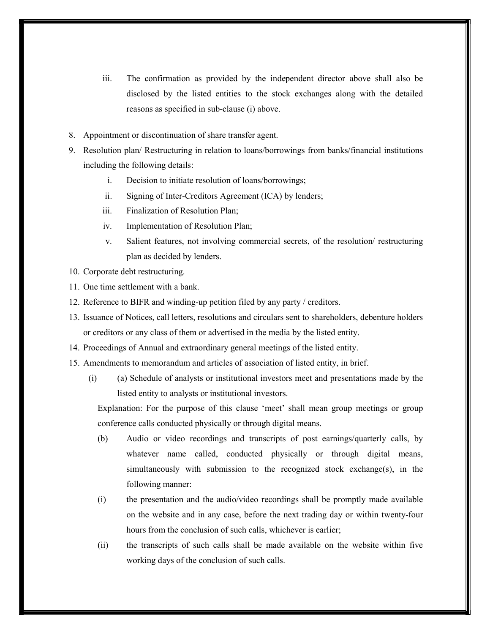- iii. The confirmation as provided by the independent director above shall also be disclosed by the listed entities to the stock exchanges along with the detailed reasons as specified in sub-clause (i) above.
- 8. Appointment or discontinuation of share transfer agent.
- 9. Resolution plan/ Restructuring in relation to loans/borrowings from banks/financial institutions including the following details:
	- i. Decision to initiate resolution of loans/borrowings;
	- ii. Signing of Inter-Creditors Agreement (ICA) by lenders;
	- iii. Finalization of Resolution Plan;
	- iv. Implementation of Resolution Plan;
	- v. Salient features, not involving commercial secrets, of the resolution/ restructuring plan as decided by lenders.
- 10. Corporate debt restructuring.
- 11. One time settlement with a bank.
- 12. Reference to BIFR and winding-up petition filed by any party / creditors.
- 13. Issuance of Notices, call letters, resolutions and circulars sent to shareholders, debenture holders or creditors or any class of them or advertised in the media by the listed entity.
- 14. Proceedings of Annual and extraordinary general meetings of the listed entity.
- 15. Amendments to memorandum and articles of association of listed entity, in brief.
	- (i) (a) Schedule of analysts or institutional investors meet and presentations made by the listed entity to analysts or institutional investors.

Explanation: For the purpose of this clause 'meet' shall mean group meetings or group conference calls conducted physically or through digital means.

- (b) Audio or video recordings and transcripts of post earnings/quarterly calls, by whatever name called, conducted physically or through digital means, simultaneously with submission to the recognized stock exchange(s), in the following manner:
- (i) the presentation and the audio/video recordings shall be promptly made available on the website and in any case, before the next trading day or within twenty-four hours from the conclusion of such calls, whichever is earlier;
- (ii) the transcripts of such calls shall be made available on the website within five working days of the conclusion of such calls.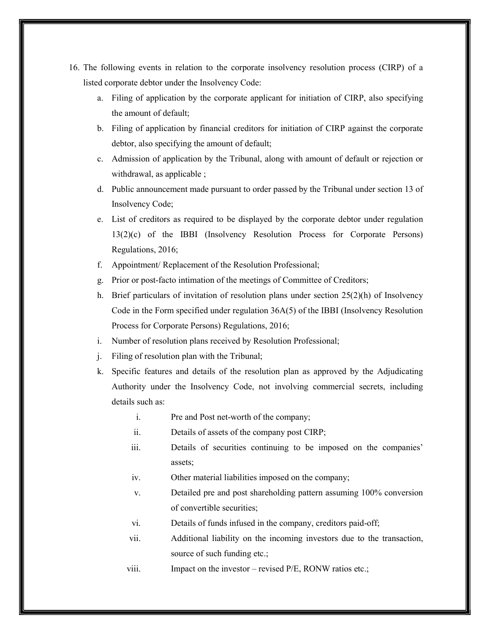- 16. The following events in relation to the corporate insolvency resolution process (CIRP) of a listed corporate debtor under the Insolvency Code:
	- a. Filing of application by the corporate applicant for initiation of CIRP, also specifying the amount of default;
	- b. Filing of application by financial creditors for initiation of CIRP against the corporate debtor, also specifying the amount of default;
	- c. Admission of application by the Tribunal, along with amount of default or rejection or withdrawal, as applicable ;
	- d. Public announcement made pursuant to order passed by the Tribunal under section 13 of Insolvency Code;
	- e. List of creditors as required to be displayed by the corporate debtor under regulation 13(2)(c) of the IBBI (Insolvency Resolution Process for Corporate Persons) Regulations, 2016;
	- f. Appointment/ Replacement of the Resolution Professional;
	- g. Prior or post-facto intimation of the meetings of Committee of Creditors;
	- h. Brief particulars of invitation of resolution plans under section  $25(2)(h)$  of Insolvency Code in the Form specified under regulation 36A(5) of the IBBI (Insolvency Resolution Process for Corporate Persons) Regulations, 2016;
	- i. Number of resolution plans received by Resolution Professional;
	- j. Filing of resolution plan with the Tribunal;
	- k. Specific features and details of the resolution plan as approved by the Adjudicating Authority under the Insolvency Code, not involving commercial secrets, including details such as:
		- i. Pre and Post net-worth of the company;
		- ii. Details of assets of the company post CIRP;
		- iii. Details of securities continuing to be imposed on the companies' assets;
		- iv. Other material liabilities imposed on the company;
		- v. Detailed pre and post shareholding pattern assuming 100% conversion of convertible securities;
		- vi. Details of funds infused in the company, creditors paid-off;
		- vii. Additional liability on the incoming investors due to the transaction, source of such funding etc.;
		- viii. Impact on the investor revised P/E, RONW ratios etc.;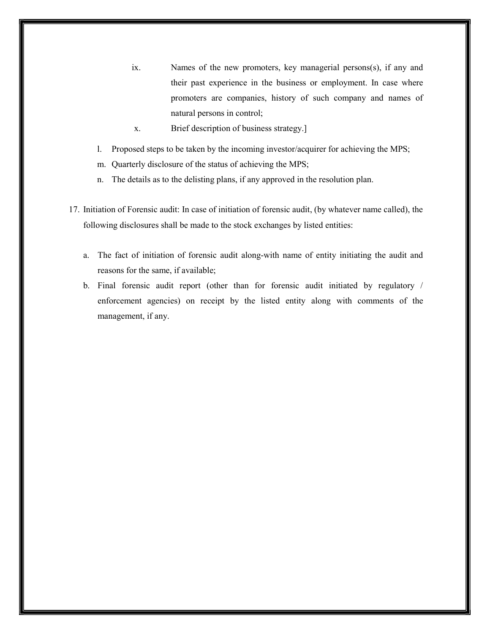- ix. Names of the new promoters, key managerial persons(s), if any and their past experience in the business or employment. In case where promoters are companies, history of such company and names of natural persons in control;
- x. Brief description of business strategy.]
- l. Proposed steps to be taken by the incoming investor/acquirer for achieving the MPS;
- m. Quarterly disclosure of the status of achieving the MPS;
- n. The details as to the delisting plans, if any approved in the resolution plan.
- 17. Initiation of Forensic audit: In case of initiation of forensic audit, (by whatever name called), the following disclosures shall be made to the stock exchanges by listed entities:
	- a. The fact of initiation of forensic audit along-with name of entity initiating the audit and reasons for the same, if available;
	- b. Final forensic audit report (other than for forensic audit initiated by regulatory / enforcement agencies) on receipt by the listed entity along with comments of the management, if any.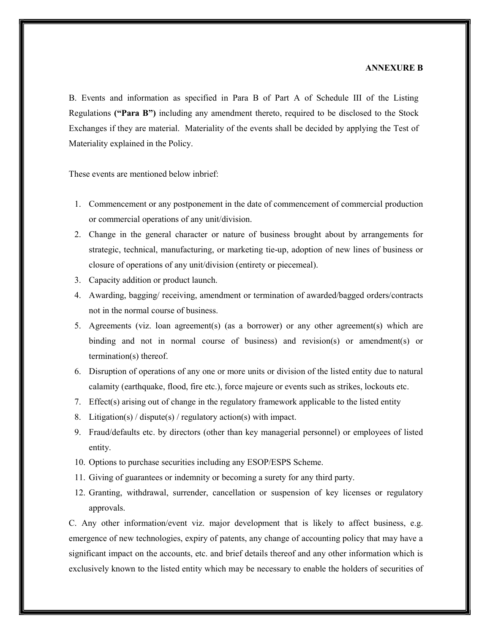#### ANNEXURE B

B. Events and information as specified in Para B of Part A of Schedule III of the Listing Regulations ("Para B") including any amendment thereto, required to be disclosed to the Stock Exchanges if they are material. Materiality of the events shall be decided by applying the Test of Materiality explained in the Policy.

These events are mentioned below inbrief:

- 1. Commencement or any postponement in the date of commencement of commercial production or commercial operations of any unit/division.
- 2. Change in the general character or nature of business brought about by arrangements for strategic, technical, manufacturing, or marketing tie-up, adoption of new lines of business or closure of operations of any unit/division (entirety or piecemeal).
- 3. Capacity addition or product launch.
- 4. Awarding, bagging/ receiving, amendment or termination of awarded/bagged orders/contracts not in the normal course of business.
- 5. Agreements (viz. loan agreement(s) (as a borrower) or any other agreement(s) which are binding and not in normal course of business) and revision(s) or amendment(s) or termination(s) thereof.
- 6. Disruption of operations of any one or more units or division of the listed entity due to natural calamity (earthquake, flood, fire etc.), force majeure or events such as strikes, lockouts etc.
- 7. Effect(s) arising out of change in the regulatory framework applicable to the listed entity
- 8. Litigation(s) / dispute(s) / regulatory action(s) with impact.
- 9. Fraud/defaults etc. by directors (other than key managerial personnel) or employees of listed entity.
- 10. Options to purchase securities including any ESOP/ESPS Scheme.
- 11. Giving of guarantees or indemnity or becoming a surety for any third party.
- 12. Granting, withdrawal, surrender, cancellation or suspension of key licenses or regulatory approvals.

C. Any other information/event viz. major development that is likely to affect business, e.g. emergence of new technologies, expiry of patents, any change of accounting policy that may have a significant impact on the accounts, etc. and brief details thereof and any other information which is exclusively known to the listed entity which may be necessary to enable the holders of securities of